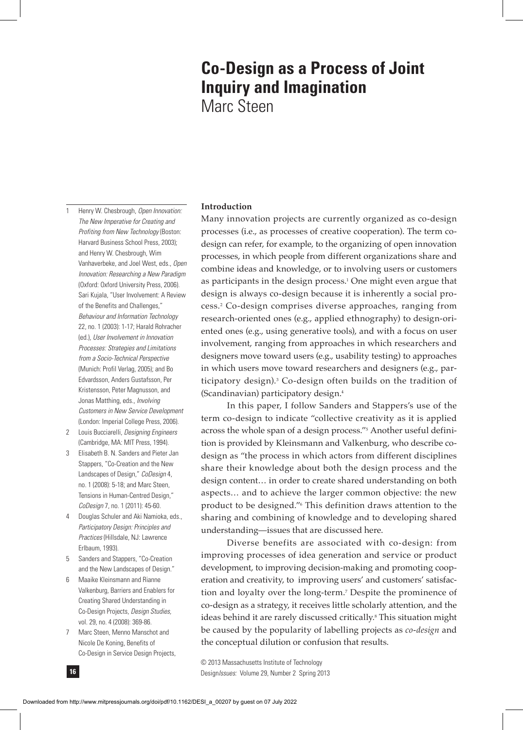# **Co-Design as a Process of Joint Inquiry and Imagination** Marc Steen

1 Henry W. Chesbrough, *Open Innovation: The New Imperative for Creating and Profiting from New Technology* (Boston: Harvard Business School Press, 2003); and Henry W. Chesbrough, Wim Vanhaverbeke, and Joel West, eds., *Open Innovation: Researching a New Paradigm* (Oxford: Oxford University Press, 2006). Sari Kujala, "User Involvement: A Review of the Benefits and Challenges," *Behaviour and Information Technology* 22, no. 1 (2003): 1-17; Harald Rohracher (ed.), *User Involvement in Innovation Processes: Strategies and Limitations from a Socio-Technical Perspective* (Munich: Profil Verlag, 2005); and Bo Edvardsson, Anders Gustafsson, Per Kristensson, Peter Magnusson, and Jonas Matthing, eds., *Involving Customers in New Service Development* (London: Imperial College Press, 2006).

- 2 Louis Bucciarelli, *Designing Engineers* (Cambridge, MA: MIT Press, 1994).
- 3 Elisabeth B. N. Sanders and Pieter Jan Stappers, "Co-Creation and the New Landscapes of Design," *CoDesign* 4, no. 1 (2008): 5-18; and Marc Steen, Tensions in Human-Centred Design," *CoDesign* 7, no. 1 (2011): 45-60.
- 4 Douglas Schuler and Aki Namioka, eds., *Participatory Design: Principles and Practices* (Hillsdale, NJ: Lawrence Erlbaum, 1993).
- 5 Sanders and Stappers, "Co-Creation and the New Landscapes of Design."
- 6 Maaike Kleinsmann and Rianne Valkenburg, Barriers and Enablers for Creating Shared Understanding in Co-Design Projects, *Design Studies,* vol. 29, no. 4 (2008): 369-86.
- 7 Marc Steen, Menno Manschot and Nicole De Koning, Benefits of Co-Design in Service Design Projects,

#### **Introduction**

Many innovation projects are currently organized as co-design processes (i.e., as processes of creative cooperation). The term codesign can refer, for example, to the organizing of open innovation processes, in which people from different organizations share and combine ideas and knowledge, or to involving users or customers as participants in the design process.<sup>1</sup> One might even argue that design is always co-design because it is inherently a social process.2 Co-design comprises diverse approaches, ranging from research-oriented ones (e.g., applied ethnography) to design-oriented ones (e.g., using generative tools), and with a focus on user involvement, ranging from approaches in which researchers and designers move toward users (e.g., usability testing) to approaches in which users move toward researchers and designers (e.g., participatory design).3 Co-design often builds on the tradition of (Scandinavian) participatory design.4

In this paper, I follow Sanders and Stappers's use of the term co-design to indicate "collective creativity as it is applied across the whole span of a design process."5 Another useful definition is provided by Kleinsmann and Valkenburg, who describe codesign as "the process in which actors from different disciplines share their knowledge about both the design process and the design content… in order to create shared understanding on both aspects… and to achieve the larger common objective: the new product to be designed."6 This definition draws attention to the sharing and combining of knowledge and to developing shared understanding—issues that are discussed here.

Diverse benefits are associated with co-design: from improving processes of idea generation and service or product development, to improving decision-making and promoting cooperation and creativity, to improving users' and customers' satisfaction and loyalty over the long-term.7 Despite the prominence of co-design as a strategy, it receives little scholarly attention, and the ideas behind it are rarely discussed critically.<sup>s</sup> This situation might be caused by the popularity of labelling projects as *co-design* and the conceptual dilution or confusion that results.

© 2013 Massachusetts Institute of Technology Design*Issues:* Volume 29, Number 2 Spring 2013

**16**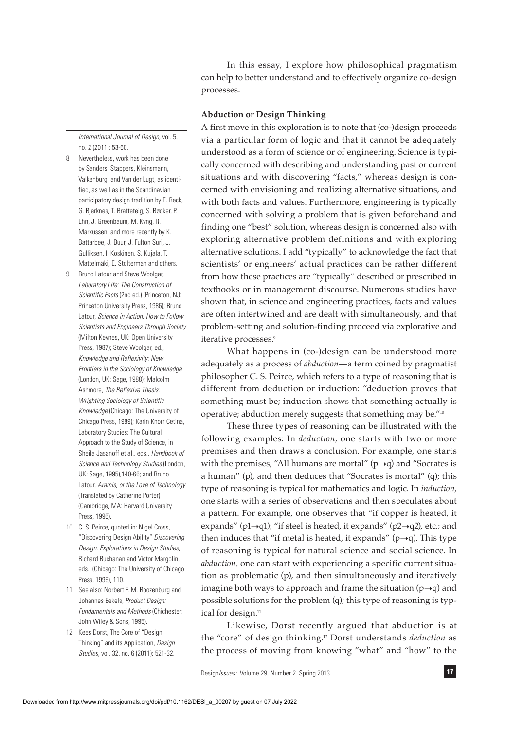*International Journal of Design,* vol. 5, no. 2 (2011): 53-60.

- 8 Nevertheless, work has been done by Sanders, Stappers, Kleinsmann, Valkenburg, and Van der Lugt, as identified, as well as in the Scandinavian participatory design tradition by E. Beck, G. Bjerknes, T. Bratteteig, S. Bødker, P. Ehn, J. Greenbaum, M. Kyng, R. Markussen, and more recently by K. Battarbee, J. Buur, J. Fulton Suri, J. Gulliksen, I. Koskinen, S. Kujala, T. Mattelmäki, E. Stolterman and others.
- 9 Bruno Latour and Steve Woolgar, *Laboratory Life: The Construction of Scientific Facts* (2nd ed.) (Princeton, NJ: Princeton University Press, 1986); Bruno Latour, *Science in Action: How to Follow Scientists and Engineers Through Society* (Milton Keynes, UK: Open University Press, 1987); Steve Woolgar, ed., *Knowledge and Reflexivity: New Frontiers in the Sociology of Knowledge* (London, UK: Sage, 1988); Malcolm Ashmore, *The Reflexive Thesis: Wrighting Sociology of Scientific Knowledge* (Chicago: The University of Chicago Press, 1989); Karin Knorr Cetina, Laboratory Studies: The Cultural Approach to the Study of Science, in Sheila Jasanoff et al., eds., *Handbook of Science and Technology Studies* (London, UK: Sage, 1995),140-66; and Bruno Latour, *Aramis, or the Love of Technology*  (Translated by Catherine Porter) (Cambridge, MA: Harvard University Press, 1996).
- 10 C. S. Peirce, quoted in: Nigel Cross, "Discovering Design Ability" *Discovering Design: Explorations in Design Studies,*  Richard Buchanan and Victor Margolin, eds., (Chicago: The University of Chicago Press, 1995), 110.
- 11 See also: Norbert F. M. Roozenburg and Johannes Eekels, *Product Design: Fundamentals and Methods* (Chichester: John Wiley & Sons, 1995).
- 12 Kees Dorst, The Core of "Design Thinking" and its Application, *Design Studies,* vol. 32, no. 6 (2011): 521-32.

In this essay, I explore how philosophical pragmatism can help to better understand and to effectively organize co-design processes.

# **Abduction or Design Thinking**

A first move in this exploration is to note that (co-)design proceeds via a particular form of logic and that it cannot be adequately understood as a form of science or of engineering. Science is typically concerned with describing and understanding past or current situations and with discovering "facts," whereas design is concerned with envisioning and realizing alternative situations, and with both facts and values. Furthermore, engineering is typically concerned with solving a problem that is given beforehand and finding one "best" solution, whereas design is concerned also with exploring alternative problem definitions and with exploring alternative solutions. I add "typically" to acknowledge the fact that scientists' or engineers' actual practices can be rather different from how these practices are "typically" described or prescribed in textbooks or in management discourse. Numerous studies have shown that, in science and engineering practices, facts and values are often intertwined and are dealt with simultaneously, and that problem-setting and solution-finding proceed via explorative and iterative processes.<sup>9</sup>

What happens in (co-)design can be understood more adequately as a process of *abduction*—a term coined by pragmatist philosopher C. S. Peirce, which refers to a type of reasoning that is different from deduction or induction: "deduction proves that something must be; induction shows that something actually is operative; abduction merely suggests that something may be."10

These three types of reasoning can be illustrated with the following examples: In *deduction,* one starts with two or more premises and then draws a conclusion. For example, one starts with the premises, "All humans are mortal"  $(p\rightarrow q)$  and "Socrates is a human" (p), and then deduces that "Socrates is mortal" (q); this type of reasoning is typical for mathematics and logic. In *induction,* one starts with a series of observations and then speculates about a pattern. For example, one observes that "if copper is heated, it expands" (p1→q1); "if steel is heated, it expands" (p2→q2), etc.; and then induces that "if metal is heated, it expands" ( $p \rightarrow q$ ). This type of reasoning is typical for natural science and social science. In *abduction,* one can start with experiencing a specific current situation as problematic (p), and then simultaneously and iteratively imagine both ways to approach and frame the situation  $(p\rightarrow q)$  and possible solutions for the problem (q); this type of reasoning is typical for design.<sup>11</sup>

Likewise, Dorst recently argued that abduction is at the "core" of design thinking.12 Dorst understands *deduction* as the process of moving from knowing "what" and "how" to the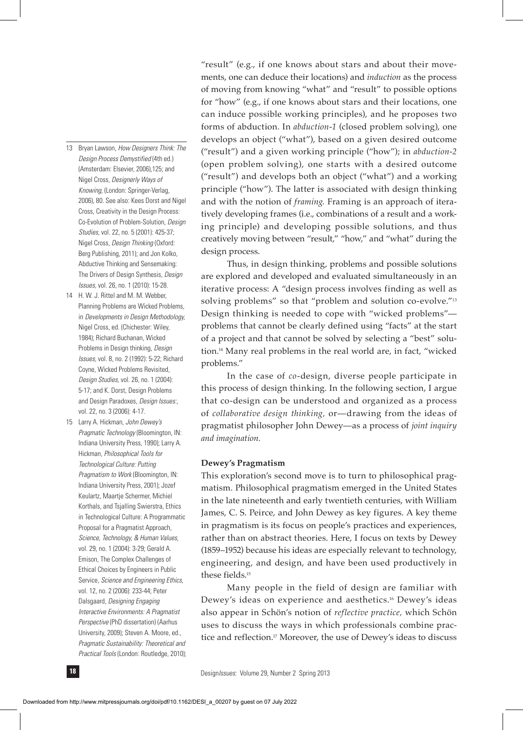- 13 Bryan Lawson, *How Designers Think: The Design Process Demystified* (4th ed.) (Amsterdam: Elsevier, 2006),125; and Nigel Cross, *Designerly Ways of Knowing,* (London: Springer-Verlag, 2006), 80. See also: Kees Dorst and Nigel Cross, Creativity in the Design Process: Co-Evolution of Problem-Solution, *Design Studies,* vol. 22, no. 5 (2001): 425-37; Nigel Cross, *Design Thinking* (Oxford: Berg Publishing, 2011); and Jon Kolko, Abductive Thinking and Sensemaking: The Drivers of Design Synthesis, *Design Issues,* vol. 26, no. 1 (2010): 15-28.
- 14 H. W. J. Rittel and M. M. Webber, Planning Problems are Wicked Problems, in *Developments in Design Methodology,* Nigel Cross, ed. (Chichester: Wiley, 1984); Richard Buchanan, Wicked Problems in Design thinking, *Design Issues,* vol. 8, no. 2 (1992): 5-22; Richard Coyne, Wicked Problems Revisited, *Design Studies,* vol. 26, no. 1 (2004): 5-17; and K. Dorst, Design Problems and Design Paradoxes, *Design Issues:,* vol. 22, no. 3 (2006): 4-17.
- 15 Larry A. Hickman, *John Dewey's Pragmatic Technology* (Bloomington, IN: Indiana University Press, 1990); Larry A. Hickman, *Philosophical Tools for Technological Culture: Putting Pragmatism to Work* (Bloomington, IN: Indiana University Press, 2001); Jozef Keulartz, Maartje Schermer, Michiel Korthals, and Tsjalling Swierstra, Ethics in Technological Culture: A Programmatic Proposal for a Pragmatist Approach, *Science, Technology, & Human Values,* vol. 29, no. 1 (2004): 3-29; Gerald A. Emison, The Complex Challenges of Ethical Choices by Engineers in Public Service, *Science and Engineering Ethics,* vol. 12, no. 2 (2006): 233-44; Peter Dalsgaard, *Designing Engaging Interactive Environments: A Pragmatist Perspective* (PhD dissertation) (Aarhus University, 2009); Steven A. Moore, ed., *Pragmatic Sustainability: Theoretical and Practical Tools* (London: Routledge, 2010);

"result" (e.g., if one knows about stars and about their movements, one can deduce their locations) and *induction* as the process of moving from knowing "what" and "result" to possible options for "how" (e.g., if one knows about stars and their locations, one can induce possible working principles), and he proposes two forms of abduction. In *abduction-1* (closed problem solving), one develops an object ("what"), based on a given desired outcome ("result") and a given working principle ("how"); in *abduction-2* (open problem solving), one starts with a desired outcome ("result") and develops both an object ("what") and a working principle ("how"). The latter is associated with design thinking and with the notion of *framing.* Framing is an approach of iteratively developing frames (i.e., combinations of a result and a working principle) and developing possible solutions, and thus creatively moving between "result," "how," and "what" during the design process.

Thus, in design thinking, problems and possible solutions are explored and developed and evaluated simultaneously in an iterative process: A "design process involves finding as well as solving problems" so that "problem and solution co-evolve."<sup>13</sup> Design thinking is needed to cope with "wicked problems" problems that cannot be clearly defined using "facts" at the start of a project and that cannot be solved by selecting a "best" solution.14 Many real problems in the real world are, in fact, "wicked problems."

In the case of *co*-design, diverse people participate in this process of design thinking. In the following section, I argue that co-design can be understood and organized as a process of *collaborative design thinking,* or—drawing from the ideas of pragmatist philosopher John Dewey—as a process of *joint inquiry and imagination.* 

#### **Dewey's Pragmatism**

This exploration's second move is to turn to philosophical pragmatism. Philosophical pragmatism emerged in the United States in the late nineteenth and early twentieth centuries, with William James, C. S. Peirce, and John Dewey as key figures. A key theme in pragmatism is its focus on people's practices and experiences, rather than on abstract theories. Here, I focus on texts by Dewey (1859–1952) because his ideas are especially relevant to technology, engineering, and design, and have been used productively in these fields.15

Many people in the field of design are familiar with Dewey's ideas on experience and aesthetics.16 Dewey's ideas also appear in Schön's notion of *reflective practice,* which Schön uses to discuss the ways in which professionals combine practice and reflection.<sup>17</sup> Moreover, the use of Dewey's ideas to discuss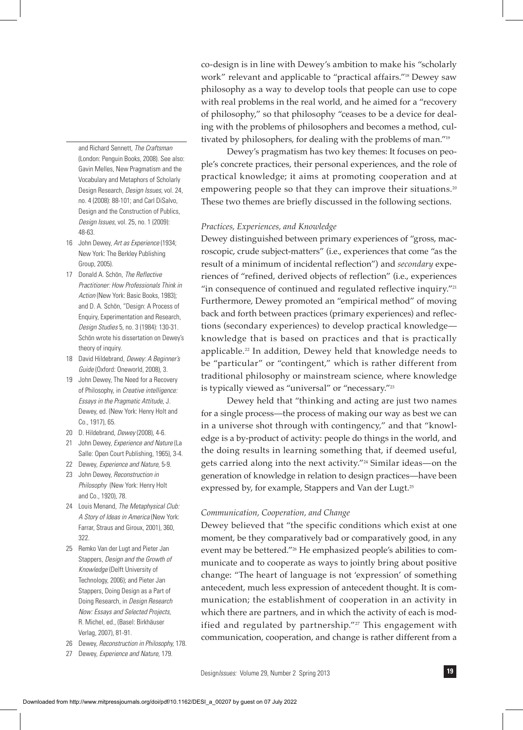and Richard Sennett, *The Craftsman* (London: Penguin Books, 2008). See also: Gavin Melles, New Pragmatism and the Vocabulary and Metaphors of Scholarly Design Research, *Design Issues,* vol. 24, no. 4 (2008): 88-101; and Carl DiSalvo, Design and the Construction of Publics, *Design Issues,* vol. 25, no. 1 (2009): 48-63.

- 16 John Dewey, *Art as Experience* (1934; New York: The Berkley Publishing Group, 2005).
- 17 Donald A. Schön, *The Reflective Practitioner: How Professionals Think in Action* (New York: Basic Books, 1983); and D. A. Schön, "Design: A Process of Enquiry, Experimentation and Research, *Design Studies* 5, no. 3 (1984): 130-31. Schön wrote his dissertation on Dewey's theory of inquiry.
- 18 David Hildebrand, *Dewey: A Beginner's Guide* (Oxford: Oneworld, 2008), 3.
- 19 John Dewey, The Need for a Recovery of Philosophy, in *Creative intelligence: Essays in the Pragmatic Attitude,* J. Dewey, ed. (New York: Henry Holt and Co., 1917), 65.
- 20 D. Hildebrand, *Dewey* (2008), 4-6.
- 21 John Dewey, *Experience and Nature* (La Salle: Open Court Publishing, 1965), 3-4.
- 22 Dewey, *Experience and Nature,* 5-9.
- 23 John Dewey, *Reconstruction in Philosophy* (New York: Henry Holt and Co., 1920), 78.
- 24 Louis Menand, *The Metaphysical Club: A Story of Ideas in America* (New York: Farrar, Straus and Giroux, 2001), 360, 322.
- 25 Remko Van der Lugt and Pieter Jan Stappers, *Design and the Growth of Knowledge* (Delft University of Technology, 2006); and Pieter Jan Stappers, Doing Design as a Part of Doing Research, in *Design Research Now: Essays and Selected Projects,* R. Michel, ed., (Basel: Birkhäuser Verlag, 2007), 81-91.
- 26 Dewey, *Reconstruction in Philosophy,* 178.
- 27 Dewey, *Experience and Nature,* 179.

co-design is in line with Dewey's ambition to make his "scholarly work" relevant and applicable to "practical affairs."18 Dewey saw philosophy as a way to develop tools that people can use to cope with real problems in the real world, and he aimed for a "recovery of philosophy," so that philosophy "ceases to be a device for dealing with the problems of philosophers and becomes a method, cultivated by philosophers, for dealing with the problems of man."19

Dewey's pragmatism has two key themes: It focuses on people's concrete practices, their personal experiences, and the role of practical knowledge; it aims at promoting cooperation and at empowering people so that they can improve their situations.<sup>20</sup> These two themes are briefly discussed in the following sections.

# *Practices, Experiences, and Knowledge*

Dewey distinguished between primary experiences of "gross, macroscopic, crude subject-matters" (i.e., experiences that come "as the result of a minimum of incidental reflection") and *secondary* experiences of "refined, derived objects of reflection" (i.e., experiences "in consequence of continued and regulated reflective inquiry."<sup>21</sup> Furthermore, Dewey promoted an "empirical method" of moving back and forth between practices (primary experiences) and reflections (secondary experiences) to develop practical knowledge knowledge that is based on practices and that is practically applicable.<sup>22</sup> In addition, Dewey held that knowledge needs to be "particular" or "contingent," which is rather different from traditional philosophy or mainstream science, where knowledge is typically viewed as "universal" or "necessary."<sup>23</sup>

Dewey held that "thinking and acting are just two names for a single process—the process of making our way as best we can in a universe shot through with contingency," and that "knowledge is a by-product of activity: people do things in the world, and the doing results in learning something that, if deemed useful, gets carried along into the next activity."24 Similar ideas—on the generation of knowledge in relation to design practices—have been expressed by, for example, Stappers and Van der Lugt.<sup>25</sup>

#### *Communication, Cooperation, and Change*

Dewey believed that "the specific conditions which exist at one moment, be they comparatively bad or comparatively good, in any event may be bettered."26 He emphasized people's abilities to communicate and to cooperate as ways to jointly bring about positive change: "The heart of language is not 'expression' of something antecedent, much less expression of antecedent thought. It is communication; the establishment of cooperation in an activity in which there are partners, and in which the activity of each is modified and regulated by partnership."<sup>27</sup> This engagement with communication, cooperation, and change is rather different from a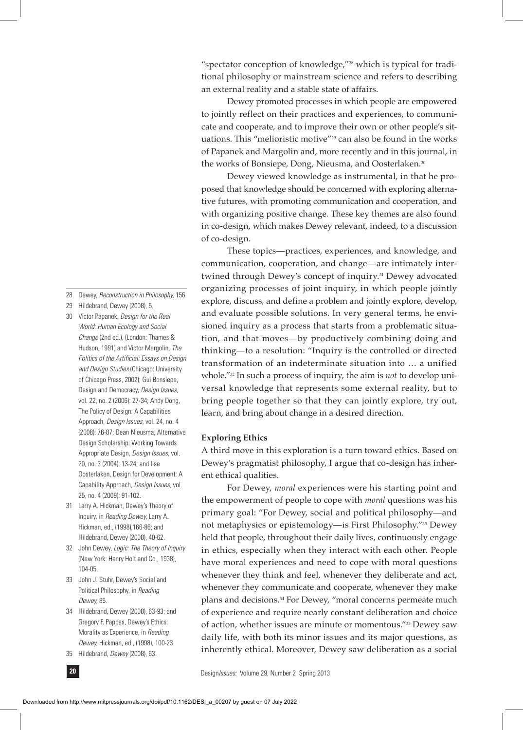- 29 Hildebrand, Dewey (2008), 5.
- 30 Victor Papanek, *Design for the Real World: Human Ecology and Social Change* (2nd ed.), (London: Thames & Hudson, 1991) and Victor Margolin, *The Politics of the Artificial: Essays on Design and Design Studies* (Chicago: University of Chicago Press, 2002); Gui Bonsiepe, Design and Democracy, *Design Issues,* vol. 22, no. 2 (2006): 27-34; Andy Dong, The Policy of Design: A Capabilities Approach, *Design Issues,* vol. 24, no. 4 (2008): 76-87; Dean Nieusma, Alternative Design Scholarship: Working Towards Appropriate Design, *Design Issues,* vol. 20, no. 3 (2004): 13-24; and Ilse Oosterlaken, Design for Development: A Capability Approach, *Design Issues,* vol. 25, no. 4 (2009): 91-102.
- 31 Larry A. Hickman, Dewey's Theory of Inquiry, in *Reading Dewey,* Larry A. Hickman, ed., (1998),166-86; and Hildebrand, Dewey (2008), 40-62.
- 32 John Dewey, *Logic: The Theory of Inquiry* (New York: Henry Holt and Co., 1938), 104-05.
- 33 John J. Stuhr, Dewey's Social and Political Philosophy, in *Reading Dewey,* 85.
- 34 Hildebrand, Dewey (2008), 63-93; and Gregory F. Pappas, Dewey's Ethics: Morality as Experience, in *Reading Dewey,* Hickman, ed., (1998), 100-23.
- 35 Hildebrand, *Dewey* (2008), 63.

"spectator conception of knowledge,"28 which is typical for traditional philosophy or mainstream science and refers to describing an external reality and a stable state of affairs.

Dewey promoted processes in which people are empowered to jointly reflect on their practices and experiences, to communicate and cooperate, and to improve their own or other people's situations. This "melioristic motive"<sup>29</sup> can also be found in the works of Papanek and Margolin and, more recently and in this journal, in the works of Bonsiepe, Dong, Nieusma, and Oosterlaken.<sup>30</sup>

Dewey viewed knowledge as instrumental, in that he proposed that knowledge should be concerned with exploring alternative futures, with promoting communication and cooperation, and with organizing positive change. These key themes are also found in co-design, which makes Dewey relevant, indeed, to a discussion of co-design.

These topics—practices, experiences, and knowledge, and communication, cooperation, and change—are intimately intertwined through Dewey's concept of inquiry.<sup>31</sup> Dewey advocated organizing processes of joint inquiry, in which people jointly explore, discuss, and define a problem and jointly explore, develop, and evaluate possible solutions. In very general terms, he envisioned inquiry as a process that starts from a problematic situation, and that moves—by productively combining doing and thinking—to a resolution: "Inquiry is the controlled or directed transformation of an indeterminate situation into … a unified whole."32 In such a process of inquiry, the aim is *not* to develop universal knowledge that represents some external reality, but to bring people together so that they can jointly explore, try out, learn, and bring about change in a desired direction.

# **Exploring Ethics**

A third move in this exploration is a turn toward ethics. Based on Dewey's pragmatist philosophy, I argue that co-design has inherent ethical qualities.

For Dewey, *moral* experiences were his starting point and the empowerment of people to cope with *moral* questions was his primary goal: "For Dewey, social and political philosophy—and not metaphysics or epistemology—is First Philosophy."33 Dewey held that people, throughout their daily lives, continuously engage in ethics, especially when they interact with each other. People have moral experiences and need to cope with moral questions whenever they think and feel, whenever they deliberate and act, whenever they communicate and cooperate, whenever they make plans and decisions.<sup>34</sup> For Dewey, "moral concerns permeate much of experience and require nearly constant deliberation and choice of action, whether issues are minute or momentous."35 Dewey saw daily life, with both its minor issues and its major questions, as inherently ethical. Moreover, Dewey saw deliberation as a social

<sup>28</sup> Dewey, *Reconstruction in Philosophy,* 156.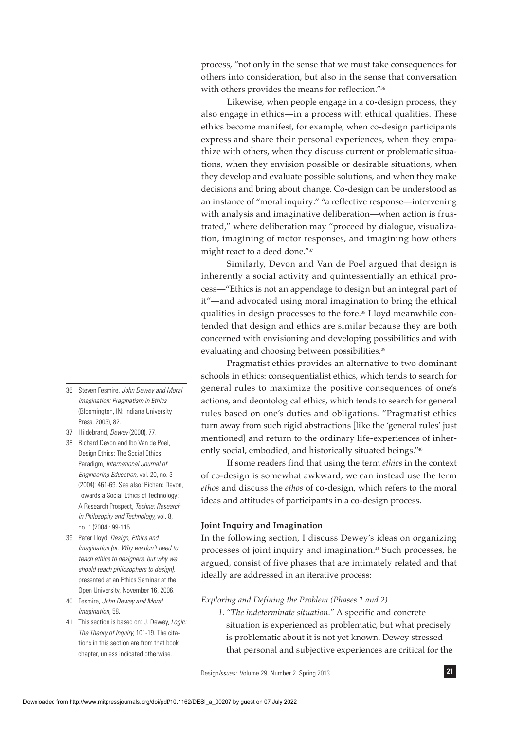process, "not only in the sense that we must take consequences for others into consideration, but also in the sense that conversation with others provides the means for reflection."36

Likewise, when people engage in a co-design process, they also engage in ethics—in a process with ethical qualities. These ethics become manifest, for example, when co-design participants express and share their personal experiences, when they empathize with others, when they discuss current or problematic situations, when they envision possible or desirable situations, when they develop and evaluate possible solutions, and when they make decisions and bring about change. Co-design can be understood as an instance of "moral inquiry:" "a reflective response—intervening with analysis and imaginative deliberation—when action is frustrated," where deliberation may "proceed by dialogue, visualization, imagining of motor responses, and imagining how others might react to a deed done."<sup>37</sup>

Similarly, Devon and Van de Poel argued that design is inherently a social activity and quintessentially an ethical process—"Ethics is not an appendage to design but an integral part of it"—and advocated using moral imagination to bring the ethical qualities in design processes to the fore.<sup>38</sup> Lloyd meanwhile contended that design and ethics are similar because they are both concerned with envisioning and developing possibilities and with evaluating and choosing between possibilities.<sup>39</sup>

Pragmatist ethics provides an alternative to two dominant schools in ethics: consequentialist ethics, which tends to search for general rules to maximize the positive consequences of one's actions, and deontological ethics, which tends to search for general rules based on one's duties and obligations. "Pragmatist ethics turn away from such rigid abstractions [like the 'general rules' just mentioned] and return to the ordinary life-experiences of inherently social, embodied, and historically situated beings."40

If some readers find that using the term *ethics* in the context of co-design is somewhat awkward, we can instead use the term *ethos* and discuss the *ethos* of co-design, which refers to the moral ideas and attitudes of participants in a co-design process.

#### **Joint Inquiry and Imagination**

In the following section, I discuss Dewey's ideas on organizing processes of joint inquiry and imagination.<sup>41</sup> Such processes, he argued, consist of five phases that are intimately related and that ideally are addressed in an iterative process:

# *Exploring and Defining the Problem (Phases 1 and 2)*

*1. "The indeterminate situation."* A specific and concrete situation is experienced as problematic, but what precisely is problematic about it is not yet known. Dewey stressed that personal and subjective experiences are critical for the

- 36 Steven Fesmire, *John Dewey and Moral Imagination: Pragmatism in Ethics* (Bloomington, IN: Indiana University Press, 2003), 82.
- 37 Hildebrand, *Dewey* (2008), 77.
- 38 Richard Devon and Ibo Van de Poel, Design Ethics: The Social Ethics Paradigm, *International Journal of Engineering Education,* vol. 20, no. 3 (2004): 461-69. See also: Richard Devon, Towards a Social Ethics of Technology: A Research Prospect, *Techne: Research in Philosophy and Technology,* vol. 8, no. 1 (2004): 99-115.
- 39 Peter Lloyd, *Design, Ethics and Imagination (or: Why we don't need to teach ethics to designers, but why we should teach philosophers to design),* presented at an Ethics Seminar at the Open University, November 16, 2006.
- 40 Fesmire, *John Dewey and Moral Imagination,* 58.
- 41 This section is based on: J. Dewey, *Logic: The Theory of Inquiry,* 101-19. The citations in this section are from that book chapter, unless indicated otherwise.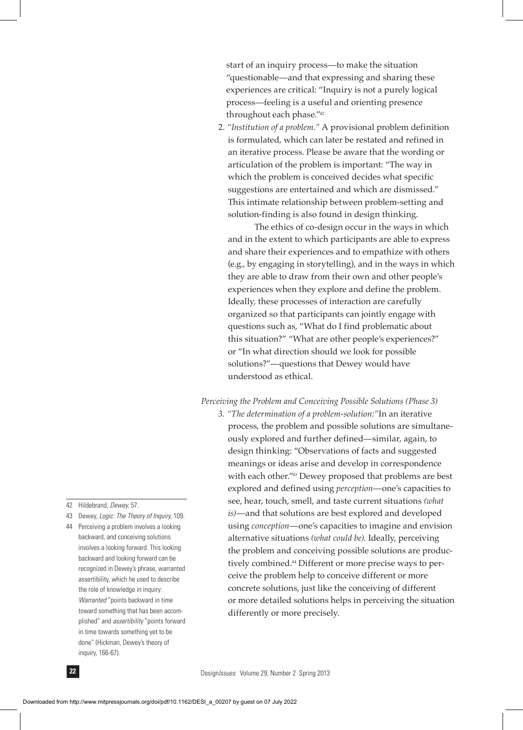start of an inquiry process—to make the situation "questionable—and that expressing and sharing these experiences are critical: "Inquiry is not a purely logical process—feeling is a useful and orienting presence throughout each phase."42

2. *"Institution of a problem."* A provisional problem definition is formulated, which can later be restated and refined in an iterative process. Please be aware that the wording or articulation of the problem is important: "The way in which the problem is conceived decides what specific suggestions are entertained and which are dismissed." This intimate relationship between problem-setting and solution-finding is also found in design thinking.

 The ethics of co-design occur in the ways in which and in the extent to which participants are able to express and share their experiences and to empathize with others (e.g., by engaging in storytelling), and in the ways in which they are able to draw from their own and other people's experiences when they explore and define the problem. Ideally, these processes of interaction are carefully organized so that participants can jointly engage with questions such as, "What do I find problematic about this situation?" "What are other people's experiences?" or "In what direction should we look for possible solutions?"—questions that Dewey would have understood as ethical.

*Perceiving the Problem and Conceiving Possible Solutions (Phase 3)*

*3. "The determination of a problem-solution:"*In an iterative process, the problem and possible solutions are simultane ously explored and further defined—similar, again, to design thinking: "Observations of facts and suggested meanings or ideas arise and develop in correspondence with each other."43 Dewey proposed that problems are best explored and defined using *perception*—one's capacities to see, hear, touch, smell, and taste current situations *(what is)*—and that solutions are best explored and developed using *conception*—one's capacities to imagine and envision alternative situations *(what could be).* Ideally, perceiving the problem and conceiving possible solutions are produc tively combined.<sup>44</sup> Different or more precise ways to per ceive the problem help to conceive different or more concrete solutions, just like the conceiving of different or more detailed solutions helps in perceiving the situation differently or more precisely.

- 42 Hildebrand, *Dewey,* 57.
- 43 Dewey, *Logic: The Theory of Inquiry,* 109.
- 44 Perceiving a problem involves a looking backward, and conceiving solutions involves a looking forward. This looking backward and looking forward can be recognized in Dewey's phrase, warranted assertibility, which he used to describe the role of knowledge in inquiry: *Warranted* "points backward in time toward something that has been accomplished" and *assertibility* "points forward in time towards something yet to be done" (Hickman, Dewey's theory of inquiry, 166-67).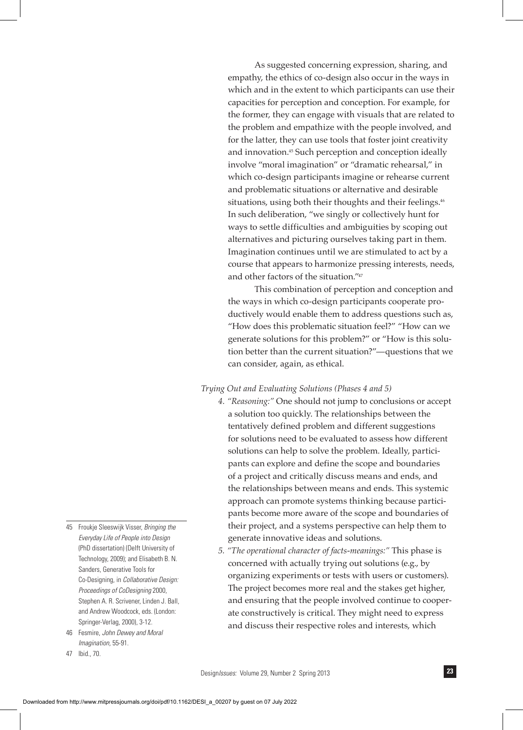As suggested concerning expression, sharing, and empathy, the ethics of co-design also occur in the ways in which and in the extent to which participants can use their capacities for perception and conception. For example, for the former, they can engage with visuals that are related to the problem and empathize with the people involved, and for the latter, they can use tools that foster joint creativity and innovation.45 Such perception and conception ideally involve "moral imagination" or "dramatic rehearsal," in which co-design participants imagine or rehearse current and problematic situations or alternative and desirable situations, using both their thoughts and their feelings.<sup>46</sup> In such deliberation, "we singly or collectively hunt for ways to settle difficulties and ambiguities by scoping out alternatives and picturing ourselves taking part in them. Imagination continues until we are stimulated to act by a course that appears to harmonize pressing interests, needs, and other factors of the situation."47

 This combination of perception and conception and the ways in which co-design participants cooperate pro ductively would enable them to address questions such as, "How does this problematic situation feel?" "How can we generate solutions for this problem?" or "How is this solu tion better than the current situation?"—questions that we can consider, again, as ethical.

#### *Trying Out and Evaluating Solutions (Phases 4 and 5)*

- *4. "Reasoning:"* One should not jump to conclusions or accept a solution too quickly. The relationships between the tentatively defined problem and different suggestions for solutions need to be evaluated to assess how different solutions can help to solve the problem. Ideally, partici pants can explore and define the scope and boundaries of a project and critically discuss means and ends, and the relationships between means and ends. This systemic approach can promote systems thinking because partici pants become more aware of the scope and boundaries of their project, and a systems perspective can help them to generate innovative ideas and solutions.
- *5. "The operational character of facts-meanings:"* This phase is concerned with actually trying out solutions (e.g., by organizing experiments or tests with users or customers). The project becomes more real and the stakes get higher, and ensuring that the people involved continue to cooper ate constructively is critical. They might need to express and discuss their respective roles and interests, which
- 45 Froukje Sleeswijk Visser, *Bringing the Everyday Life of People into Design*  (PhD dissertation) (Delft University of Technology, 2009); and Elisabeth B. N. Sanders, Generative Tools for Co-Designing, in *Collaborative Design: Proceedings of CoDesigning* 2000, Stephen A. R. Scrivener, Linden J. Ball, and Andrew Woodcock, eds. (London: Springer-Verlag, 2000), 3-12.
- 46 Fesmire, *John Dewey and Moral Imagination,* 55-91.
- 47 Ibid., 70.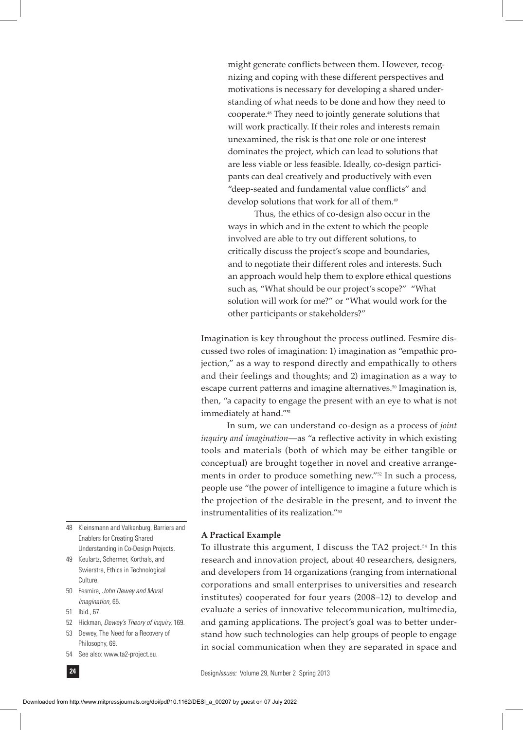might generate conflicts between them. However, recog nizing and coping with these different perspectives and motivations is necessary for developing a shared under standing of what needs to be done and how they need to cooperate.48 They need to jointly generate solutions that will work practically. If their roles and interests remain unexamined, the risk is that one role or one interest dominates the project, which can lead to solutions that are less viable or less feasible. Ideally, co-design partici pants can deal creatively and productively with even "deep-seated and fundamental value conflicts" and develop solutions that work for all of them.49

 Thus, the ethics of co-design also occur in the ways in which and in the extent to which the people involved are able to try out different solutions, to critically discuss the project's scope and boundaries, and to negotiate their different roles and interests. Such an approach would help them to explore ethical questions such as, "What should be our project's scope?" "What solution will work for me?" or "What would work for the other participants or stakeholders?"

Imagination is key throughout the process outlined. Fesmire discussed two roles of imagination: 1) imagination as "empathic projection," as a way to respond directly and empathically to others and their feelings and thoughts; and 2) imagination as a way to escape current patterns and imagine alternatives.<sup>50</sup> Imagination is, then, "a capacity to engage the present with an eye to what is not immediately at hand."51

In sum, we can understand co-design as a process of *joint inquiry and imagination*—as "a reflective activity in which existing tools and materials (both of which may be either tangible or conceptual) are brought together in novel and creative arrangements in order to produce something new."52 In such a process, people use "the power of intelligence to imagine a future which is the projection of the desirable in the present, and to invent the instrumentalities of its realization."53

48 Kleinsmann and Valkenburg, Barriers and Enablers for Creating Shared Understanding in Co-Design Projects.

# 49 Keulartz, Schermer, Korthals, and Swierstra, Ethics in Technological Culture.

- 50 Fesmire, *John Dewey and Moral Imagination,* 65.
- 51 Ibid., 67.
- 52 Hickman, *Dewey's Theory of Inquiry,* 169.
- 53 Dewey, The Need for a Recovery of Philosophy, 69.
- 54 See also: www.ta2-project.eu.

# **A Practical Example**

To illustrate this argument, I discuss the TA2 project.54 In this research and innovation project, about 40 researchers, designers, and developers from 14 organizations (ranging from international corporations and small enterprises to universities and research institutes) cooperated for four years (2008–12) to develop and evaluate a series of innovative telecommunication, multimedia, and gaming applications. The project's goal was to better understand how such technologies can help groups of people to engage in social communication when they are separated in space and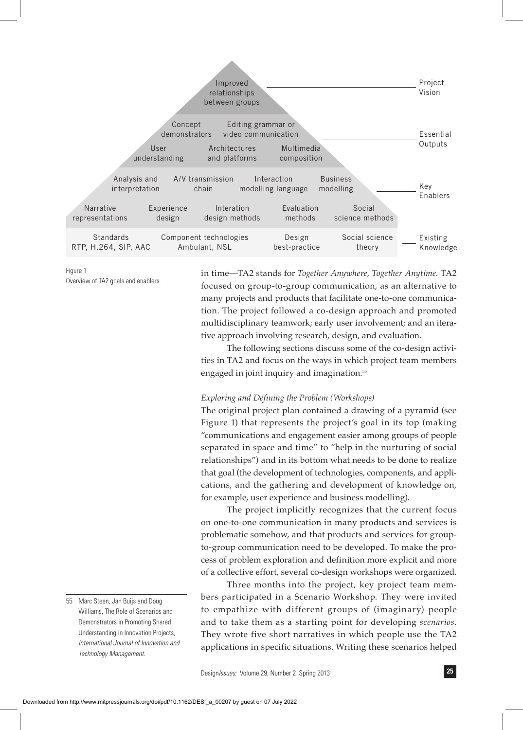

Figure 1

Overview of TA2 goals and enablers.

in time—TA2 stands for *Together Anywhere, Together Anytime.* TA2 focused on group-to-group communication, as an alternative to many projects and products that facilitate one-to-one communication. The project followed a co-design approach and promoted multidisciplinary teamwork; early user involvement; and an iterative approach involving research, design, and evaluation.

The following sections discuss some of the co-design activities in TA2 and focus on the ways in which project team members engaged in joint inquiry and imagination.<sup>55</sup>

#### *Exploring and Defining the Problem (Workshops)*

The original project plan contained a drawing of a pyramid (see Figure 1) that represents the project's goal in its top (making "communications and engagement easier among groups of people separated in space and time" to "help in the nurturing of social relationships") and in its bottom what needs to be done to realize that goal (the development of technologies, components, and applications, and the gathering and development of knowledge on, for example, user experience and business modelling).

The project implicitly recognizes that the current focus on one-to-one communication in many products and services is problematic somehow, and that products and services for groupto-group communication need to be developed. To make the process of problem exploration and definition more explicit and more of a collective effort, several co-design workshops were organized.

Three months into the project, key project team members participated in a Scenario Workshop. They were invited to empathize with different groups of (imaginary) people and to take them as a starting point for developing *scenarios.* They wrote five short narratives in which people use the TA2 applications in specific situations. Writing these scenarios helped

<sup>55</sup> Marc Steen, Jan Buijs and Doug Williams, The Role of Scenarios and Demonstrators in Promoting Shared Understanding in Innovation Projects, *International Journal of Innovation and Technology Management*.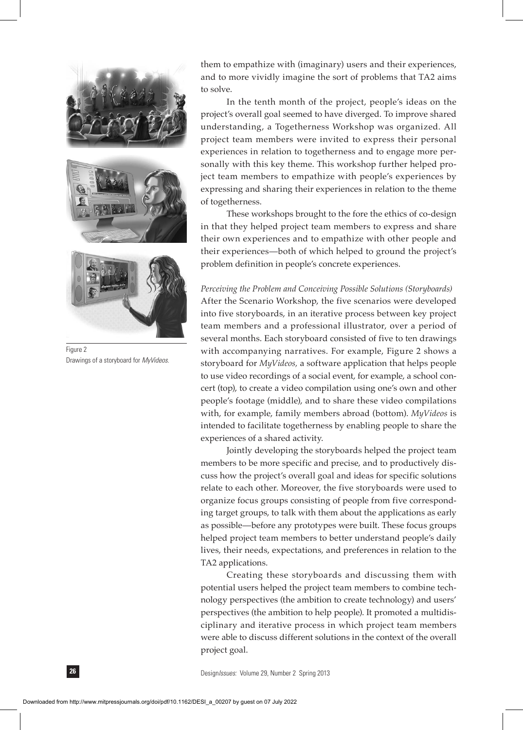

Figure 2 Drawings of a storyboard for *MyVideos.* them to empathize with (imaginary) users and their experiences, and to more vividly imagine the sort of problems that TA2 aims to solve.

In the tenth month of the project, people's ideas on the project's overall goal seemed to have diverged. To improve shared understanding, a Togetherness Workshop was organized. All project team members were invited to express their personal experiences in relation to togetherness and to engage more personally with this key theme. This workshop further helped project team members to empathize with people's experiences by expressing and sharing their experiences in relation to the theme of togetherness.

These workshops brought to the fore the ethics of co-design in that they helped project team members to express and share their own experiences and to empathize with other people and their experiences—both of which helped to ground the project's problem definition in people's concrete experiences.

*Perceiving the Problem and Conceiving Possible Solutions (Storyboards)*  After the Scenario Workshop, the five scenarios were developed into five storyboards, in an iterative process between key project team members and a professional illustrator, over a period of several months. Each storyboard consisted of five to ten drawings with accompanying narratives. For example, Figure 2 shows a storyboard for *MyVideos,* a software application that helps people to use video recordings of a social event, for example, a school concert (top), to create a video compilation using one's own and other people's footage (middle), and to share these video compilations with, for example, family members abroad (bottom). *MyVideos* is intended to facilitate togetherness by enabling people to share the experiences of a shared activity.

 Jointly developing the storyboards helped the project team members to be more specific and precise, and to productively discuss how the project's overall goal and ideas for specific solutions relate to each other. Moreover, the five storyboards were used to organize focus groups consisting of people from five corresponding target groups, to talk with them about the applications as early as possible—before any prototypes were built. These focus groups helped project team members to better understand people's daily lives, their needs, expectations, and preferences in relation to the TA2 applications.

Creating these storyboards and discussing them with potential users helped the project team members to combine technology perspectives (the ambition to create technology) and users' perspectives (the ambition to help people). It promoted a multidisciplinary and iterative process in which project team members were able to discuss different solutions in the context of the overall project goal.

Downloaded from http://www.mitpressjournals.org/doi/pdf/10.1162/DESI\_a\_00207 by guest on 07 July 2022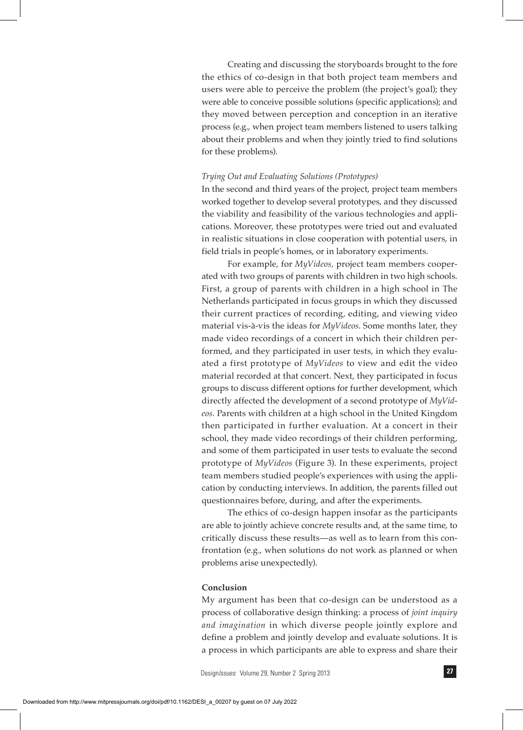Creating and discussing the storyboards brought to the fore the ethics of co-design in that both project team members and users were able to perceive the problem (the project's goal); they were able to conceive possible solutions (specific applications); and they moved between perception and conception in an iterative process (e.g., when project team members listened to users talking about their problems and when they jointly tried to find solutions for these problems).

#### *Trying Out and Evaluating Solutions (Prototypes)*

In the second and third years of the project, project team members worked together to develop several prototypes, and they discussed the viability and feasibility of the various technologies and applications. Moreover, these prototypes were tried out and evaluated in realistic situations in close cooperation with potential users, in field trials in people's homes, or in laboratory experiments.

For example, for *MyVideos,* project team members cooperated with two groups of parents with children in two high schools. First, a group of parents with children in a high school in The Netherlands participated in focus groups in which they discussed their current practices of recording, editing, and viewing video material vis-à-vis the ideas for *MyVideos*. Some months later, they made video recordings of a concert in which their children performed, and they participated in user tests, in which they evaluated a first prototype of *MyVideos* to view and edit the video material recorded at that concert. Next, they participated in focus groups to discuss different options for further development, which directly affected the development of a second prototype of *MyVideos.* Parents with children at a high school in the United Kingdom then participated in further evaluation. At a concert in their school, they made video recordings of their children performing, and some of them participated in user tests to evaluate the second prototype of *MyVideos* (Figure 3). In these experiments, project team members studied people's experiences with using the application by conducting interviews. In addition, the parents filled out questionnaires before, during, and after the experiments.

The ethics of co-design happen insofar as the participants are able to jointly achieve concrete results and, at the same time, to critically discuss these results—as well as to learn from this confrontation (e.g., when solutions do not work as planned or when problems arise unexpectedly).

# **Conclusion**

My argument has been that co-design can be understood as a process of collaborative design thinking: a process of *joint inquiry and imagination* in which diverse people jointly explore and define a problem and jointly develop and evaluate solutions. It is a process in which participants are able to express and share their